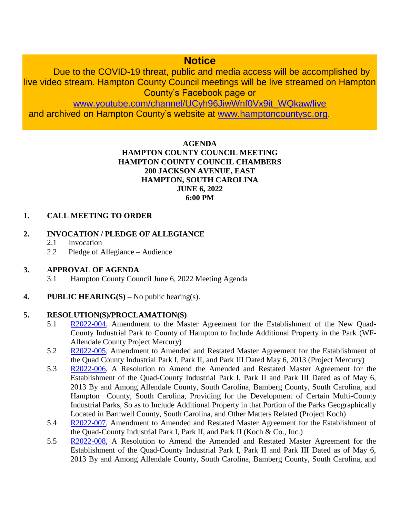# **Notice**

Due to the COVID-19 threat, public and media access will be accomplished by live video stream. Hampton County Council meetings will be live streamed on Hampton County's Facebook page or

[www.youtube.com/channel/UCyh96JiwWnf0Vx9it\\_WQkaw/live](http://www.youtube.com/channel/UCyh96JiwWnf0Vx9it_WQkaw/live)

and archived on Hampton County's website at [www.hamptoncountysc.org.](http://www.hamptoncountysc.org/)

#### **AGENDA HAMPTON COUNTY COUNCIL MEETING HAMPTON COUNTY COUNCIL CHAMBERS 200 JACKSON AVENUE, EAST HAMPTON, SOUTH CAROLINA JUNE 6, 2022 6:00 PM**

## **1. CALL MEETING TO ORDER**

## **2. INVOCATION / PLEDGE OF ALLEGIANCE**

- 2.1 Invocation
- 2.2 Pledge of Allegiance Audience

#### **3. APPROVAL OF AGENDA**

- 3.1 Hampton County Council June 6, 2022 Meeting Agenda
- **4. PUBLIC HEARING(S) –** No public hearing(s).

#### **5. RESOLUTION(S)/PROCLAMATION(S)**

- 5.1 [R2022-004,](https://www.hamptoncountysc.org/DocumentCenter/View/2078/R2022-004-WF-Allendale-County-ED_Project-Mercury---Quad-County-Companion-Resolution-Hampton-2) Amendment to the Master Agreement for the Establishment of the New Quad-County Industrial Park to County of Hampton to Include Additional Property in the Park (WF-Allendale County Project Mercury)
- 5.2 [R2022-005,](https://www.hamptoncountysc.org/DocumentCenter/View/2079/R2022-005-WF-Project-Mercury-Quad-MCIP-Agreement-Amendment-All-4-Counties) Amendment to Amended and Restated Master Agreement for the Establishment of the Quad County Industrial Park I, Park II, and Park III Dated May 6, 2013 (Project Mercury)
- 5.3 [R2022-006,](https://www.hamptoncountysc.org/DocumentCenter/View/2080/R2022-006-Koch-DM-7173333-v1-HamptonCounty-MCIP-Resolution-1) A Resolution to Amend the Amended and Restated Master Agreement for the Establishment of the Quad-County Industrial Park I, Park II and Park III Dated as of May 6, 2013 By and Among Allendale County, South Carolina, Bamberg County, South Carolina, and Hampton County, South Carolina, Providing for the Development of Certain Multi-County Industrial Parks, So as to Include Additional Property in that Portion of the Parks Geographically Located in Barnwell County, South Carolina, and Other Matters Related (Project Koch)
- 5.4 [R2022-007,](https://www.hamptoncountysc.org/DocumentCenter/View/2074/R2022-007-Koch-DM-7173352-v1-Amendment-to-Quad-County-Park-Agreement) Amendment to Amended and Restated Master Agreement for the Establishment of the Quad-County Industrial Park I, Park II, and Park II (Koch & Co., Inc.)
- 5.5 [R2022-008,](https://www.hamptoncountysc.org/DocumentCenter/View/2075/R2022-008-TIVA-DM-7124996-v1-Hamton-County-MCIP-Resolution) A Resolution to Amend the Amended and Restated Master Agreement for the Establishment of the Quad-County Industrial Park I, Park II and Park III Dated as of May 6, 2013 By and Among Allendale County, South Carolina, Bamberg County, South Carolina, and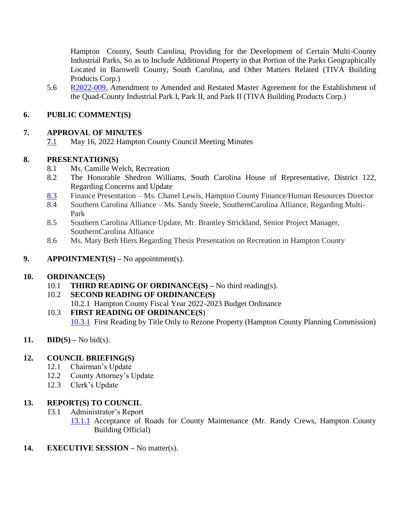Hampton County, South Carolina, Providing for the Development of Certain Multi-County Industrial Parks, So as to Include Additional Property in that Portion of the Parks Geographically Located in Barnwell County, South Carolina, and Other Matters Related (TIVA Building Products Corp.)

5.6 [R2022-009,](https://www.hamptoncountysc.org/DocumentCenter/View/2076/R2022-009-TIVA-DM-7124987-v1-Amendment-to-Quad-County-Park-Agreement) Amendment to Amended and Restated Master Agreement for the Establishment of the Quad-County Industrial Park I, Park II, and Park II (TIVA Building Products Corp.)

## **6. PUBLIC COMMENT(S)**

### **7. APPROVAL OF MINUTES**

**7**[.1](https://www.hamptoncountysc.org/DocumentCenter/View/2071/Minutes-05162022---Unofficial) May 16, 2022 Hampton County Council Meeting Minutes

## **8. PRESENTATION(S)**

- 8.1 Ms. Camille Welch, Recreation
- 8.2 The Honorable Shedron Williams, South Carolina House of Representative, District 122, Regarding Concerns and Update
- [8.3](https://www.hamptoncountysc.org/DocumentCenter/View/2077/CL---Public-information-responses) Finance Presentation Ms. Chanel Lewis, Hampton County Finance/Human Resources Director
- 8.4 Southern Carolina Alliance Ms. Sandy Steele, SouthernCarolina Alliance, Regarding Multi-Park
- 8.5 Southern Carolina Alliance Update, Mr. Brantley Strickland, Senior Project Manager, SouthernCarolina Alliance
- 8.6 Ms. Mary Beth Hiers Regarding Thesis Presentation on Recreation in Hampton County
- **9. APPOINTMENT(S) –** No appointment(s).

#### **10. ORDINANCE(S)**

10.1 **THIRD READING OF ORDINANCE(S) –** No third reading(s).

#### 10.2 **SECOND READING OF ORDINANCE(S)**

10.2.1 Hampton County Fiscal Year 2022-2023 Budget Ordinance

#### 10.3 **FIRST READING OF ORDINANCE(S**)

[10.3.1](https://www.hamptoncountysc.org/DocumentCenter/View/2070/Planning-Commission-Recommendation-to-Council) First Reading by Title Only to Rezone Property (Hampton County Planning Commission)

#### 11. **BID(S)** – No bid(s).

#### **12. COUNCIL BRIEFING(S)**

- 12.1 Chairman's Update
- 12.2 County Attorney's Update
- 12.3 Clerk's Update

#### **13. REPORT(S) TO COUNCIL**

- 13.1 Administrator's Report
	- [13.1.1](https://www.hamptoncountysc.org/DocumentCenter/View/2069/Building-Department---Planning-Commission-Recommendation-to-Council-for-County-Road-Maintenance) Acceptance of Roads for County Maintenance (Mr. Randy Crews, Hampton County Building Official)
- **14. EXECUTIVE SESSION** No matter(s).